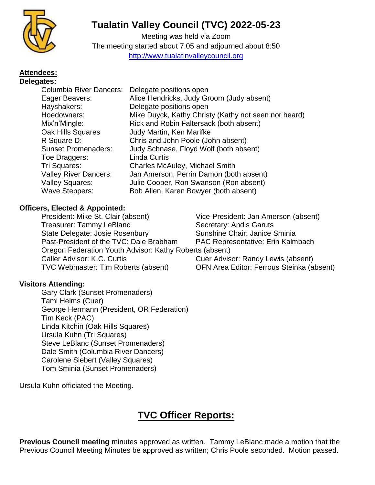

# **Tualatin Valley Council (TVC) 2022-05-23**

Meeting was held via Zoom The meeting started about 7:05 and adjourned about 8:50 [http://www.tualatinvalleycouncil.org](http://www.tualatinvalleycouncil.org/)

#### **Attendees: Delegates:**

| <b>Columbia River Dancers:</b><br>Delegate positions open |
|-----------------------------------------------------------|
| Alice Hendricks, Judy Groom (Judy absent)                 |
| Delegate positions open                                   |
| Mike Duyck, Kathy Christy (Kathy not seen nor heard)      |
| Rick and Robin Faltersack (both absent)                   |
| Judy Martin, Ken Marifke                                  |
| Chris and John Poole (John absent)                        |
| Judy Schnase, Floyd Wolf (both absent)                    |
| <b>Linda Curtis</b>                                       |
| <b>Charles McAuley, Michael Smith</b>                     |
| Jan Amerson, Perrin Damon (both absent)                   |
| Julie Cooper, Ron Swanson (Ron absent)                    |
| Bob Allen, Karen Bowyer (both absent)                     |
|                                                           |

## **Officers, Elected & Appointed:**

President: Mike St. Clair (absent) Vice-President: Jan Amerson (absent) Treasurer: Tammy LeBlanc Secretary: Andis Garuts State Delegate: Josie Rosenbury Sunshine Chair: Janice Sminia Past-President of the TVC: Dale Brabham PAC Representative: Erin Kalmbach Oregon Federation Youth Advisor: Kathy Roberts (absent) Caller Advisor: K.C. Curtis Cuer Advisor: Randy Lewis (absent) TVC Webmaster: Tim Roberts (absent) OFN Area Editor: Ferrous Steinka (absent)

## **Visitors Attending:**

Gary Clark (Sunset Promenaders) Tami Helms (Cuer) George Hermann (President, OR Federation) Tim Keck (PAC) Linda Kitchin (Oak Hills Squares) Ursula Kuhn (Tri Squares) Steve LeBlanc (Sunset Promenaders) Dale Smith (Columbia River Dancers) Carolene Siebert (Valley Squares) Tom Sminia (Sunset Promenaders)

Ursula Kuhn officiated the Meeting.

# **TVC Officer Reports:**

**Previous Council meeting** minutes approved as written. Tammy LeBlanc made a motion that the Previous Council Meeting Minutes be approved as written; Chris Poole seconded. Motion passed.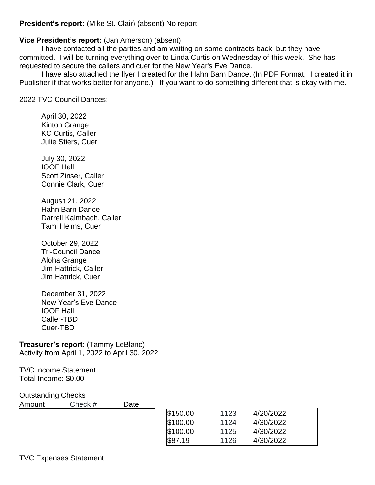**President's report:** (Mike St. Clair) (absent) No report.

## **Vice President's report:** (Jan Amerson) (absent)

I have contacted all the parties and am waiting on some contracts back, but they have committed. I will be turning everything over to Linda Curtis on Wednesday of this week. She has requested to secure the callers and cuer for the New Year's Eve Dance.

I have also attached the flyer I created for the Hahn Barn Dance. (In PDF Format, I created it in Publisher if that works better for anyone.) If you want to do something different that is okay with me.

2022 TVC Council Dances:

April 30, 2022 Kinton Grange KC Curtis, Caller Julie Stiers, Cuer

July 30, 2022 IOOF Hall Scott Zinser, Caller Connie Clark, Cuer

Augus t 21, 2022 Hahn Barn Dance Darrell Kalmbach, Caller Tami Helms, Cuer

October 29, 2022 Tri-Council Dance Aloha Grange Jim Hattrick, Caller Jim Hattrick, Cuer

December 31, 2022 New Year's Eve Dance IOOF Hall Caller-TBD Cuer-TBD

### **Treasurer's report**: (Tammy LeBlanc) Activity from April 1, 2022 to April 30, 2022

TVC Income Statement Total Income: \$0.00

### Outstanding Checks

| -<br>Amount | Check # | Date |          |      |           |
|-------------|---------|------|----------|------|-----------|
|             |         |      | \$150.00 | 1123 | 4/20/2022 |
|             |         |      | \$100.00 | 1124 | 4/30/2022 |
|             |         |      | \$100.00 | 1125 | 4/30/2022 |
|             |         |      | .19      | 1126 | 4/30/2022 |
|             |         |      |          |      |           |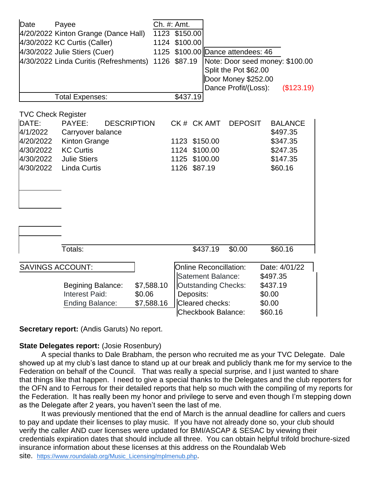| Date                                                                                               | Payee<br>4/20/2022 Kinton Grange (Dance Hall)<br>4/30/2022 KC Curtis (Caller)<br>4/30/2022 Julie Stiers (Cuer)<br>4/30/2022 Linda Curitis (Refreshments) | 1124<br>1125             | Ch. #: Amt.<br>1123 \$150.00<br>\$100.00<br>1126 \$87.19                                                                                      |                                 | \$100.00 Dance attendees: 46<br>Split the Pot \$62.00<br>Door Money \$252.00 | Note: Door seed money: \$100.00                                           |
|----------------------------------------------------------------------------------------------------|----------------------------------------------------------------------------------------------------------------------------------------------------------|--------------------------|-----------------------------------------------------------------------------------------------------------------------------------------------|---------------------------------|------------------------------------------------------------------------------|---------------------------------------------------------------------------|
|                                                                                                    |                                                                                                                                                          |                          |                                                                                                                                               |                                 | Dance Profit/(Loss):                                                         | (\$123.19)                                                                |
|                                                                                                    | <b>Total Expenses:</b>                                                                                                                                   |                          | \$437.19                                                                                                                                      |                                 |                                                                              |                                                                           |
| <b>TVC Check Register</b><br>DATE:<br>4/1/2022<br>4/20/2022<br>4/30/2022<br>4/30/2022<br>4/30/2022 | PAYEE:<br><b>DESCRIPTION</b><br>Carryover balance<br>Kinton Grange<br><b>KC Curtis</b><br><b>Julie Stiers</b><br><b>Linda Curtis</b>                     |                          | CK# CK AMT<br>1123 \$150.00<br>1124<br>1125<br>1126                                                                                           | \$100.00<br>\$100.00<br>\$87.19 | <b>DEPOSIT</b>                                                               | <b>BALANCE</b><br>\$497.35<br>\$347.35<br>\$247.35<br>\$147.35<br>\$60.16 |
|                                                                                                    | Totals:                                                                                                                                                  |                          |                                                                                                                                               | \$437.19                        | \$0.00                                                                       | \$60.16                                                                   |
|                                                                                                    | <b>SAVINGS ACCOUNT:</b><br><b>Begining Balance:</b><br>Interest Paid:<br>\$0.06<br><b>Ending Balance:</b>                                                | \$7,588.10<br>\$7,588.16 | <b>Online Reconcillation:</b><br>Satement Balance:<br><b>Outstanding Checks:</b><br>Deposits:<br>Cleared checks:<br><b>Checkbook Balance:</b> |                                 |                                                                              | Date: 4/01/22<br>\$497.35<br>\$437.19<br>\$0.00<br>\$0.00<br>\$60.16      |

**Secretary report:** (Andis Garuts) No report.

### **State Delegates report: (Josie Rosenbury)**

A special thanks to Dale Brabham, the person who recruited me as your TVC Delegate. Dale showed up at my club's last dance to stand up at our break and publicly thank me for my service to the Federation on behalf of the Council. That was really a special surprise, and I just wanted to share that things like that happen. I need to give a special thanks to the Delegates and the club reporters for the OFN and to Ferrous for their detailed reports that help so much with the compiling of my reports for the Federation. It has really been my honor and privilege to serve and even though I'm stepping down as the Delegate after 2 years, you haven't seen the last of me.

It was previously mentioned that the end of March is the annual deadline for callers and cuers to pay and update their licenses to play music. If you have not already done so, your club should verify the caller AND cuer licenses were updated for BMI/ASCAP & SESAC by viewing their credentials expiration dates that should include all three. You can obtain helpful trifold brochure-sized insurance information about these licenses at this address on the Roundalab Web site. [https://www.roundalab.org/Music\\_Licensing/mplmenub.php](https://www.roundalab.org/Music_Licensing/mplmenub.php).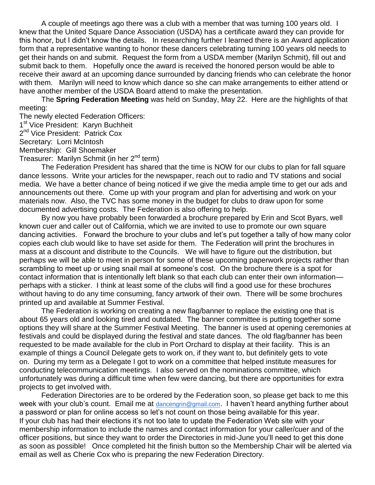A couple of meetings ago there was a club with a member that was turning 100 years old. I knew that the United Square Dance Association (USDA) has a certificate award they can provide for this honor, but I didn't know the details. In researching further I learned there is an Award application form that a representative wanting to honor these dancers celebrating turning 100 years old needs to get their hands on and submit. Request the form from a USDA member (Marilyn Schmit), fill out and submit back to them. Hopefully once the award is received the honored person would be able to receive their award at an upcoming dance surrounded by dancing friends who can celebrate the honor with them. Marilyn will need to know which dance so she can make arrangements to either attend or have another member of the USDA Board attend to make the presentation.

The **Spring Federation Meeting** was held on Sunday, May 22. Here are the highlights of that meeting:

The newly elected Federation Officers: 1<sup>st</sup> Vice President: Karyn Buchheit 2<sup>nd</sup> Vice President: Patrick Cox Secretary: Lorri McIntosh Membership: Gill Shoemaker Treasurer: Marilyn Schmit (in her 2<sup>nd</sup> term)

The Federation President has shared that the time is NOW for our clubs to plan for fall square dance lessons. Write your articles for the newspaper, reach out to radio and TV stations and social media. We have a better chance of being noticed if we give the media ample time to get our ads and announcements out there. Come up with your program and plan for advertising and work on your materials now. Also, the TVC has some money in the budget for clubs to draw upon for some documented advertising costs. The Federation is also offering to help.

By now you have probably been forwarded a brochure prepared by Erin and Scot Byars, well known cuer and caller out of California, which we are invited to use to promote our own square dancing activities. Forward the brochure to your clubs and let's put together a tally of how many color copies each club would like to have set aside for them. The Federation will print the brochures in mass at a discount and distribute to the Councils. We will have to figure out the distribution, but perhaps we will be able to meet in person for some of these upcoming paperwork projects rather than scrambling to meet up or using snail mail at someone's cost. On the brochure there is a spot for contact information that is intentionally left blank so that each club can enter their own information perhaps with a sticker. I think at least some of the clubs will find a good use for these brochures without having to do any time consuming, fancy artwork of their own. There will be some brochures printed up and available at Summer Festival.

The Federation is working on creating a new flag/banner to replace the existing one that is about 65 years old and looking tired and outdated. The banner committee is putting together some options they will share at the Summer Festival Meeting. The banner is used at opening ceremonies at festivals and could be displayed during the festival and state dances. The old flag/banner has been requested to be made available for the club in Port Orchard to display at their facility. This is an example of things a Council Delegate gets to work on, if they want to, but definitely gets to vote on. During my term as a Delegate I got to work on a committee that helped institute measures for conducting telecommunication meetings. I also served on the nominations committee, which unfortunately was during a difficult time when few were dancing, but there are opportunities for extra projects to get involved with.

Federation Directories are to be ordered by the Federation soon, so please get back to me this week with your club's count. Email me at [dancengrin@gmail.com](mailto:dancengrin@gmail.com). I haven't heard anything further about a password or plan for online access so let's not count on those being available for this year. If your club has had their elections it's not too late to update the Federation Web site with your membership information to include the names and contact information for your caller/cuer and of the officer positions, but since they want to order the Directories in mid-June you'll need to get this done as soon as possible! Once completed hit the finish button so the Membership Chair will be alerted via email as well as Cherie Cox who is preparing the new Federation Directory.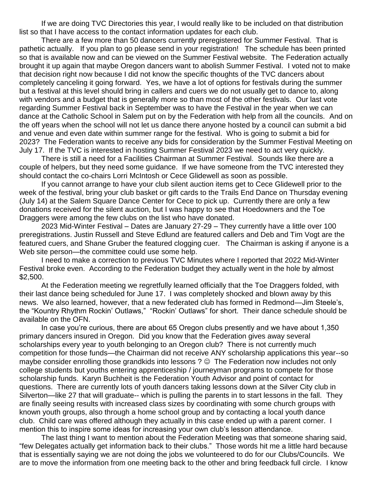If we are doing TVC Directories this year, I would really like to be included on that distribution list so that I have access to the contact information updates for each club.

There are a few more than 50 dancers currently preregistered for Summer Festival. That is pathetic actually. If you plan to go please send in your registration! The schedule has been printed so that is available now and can be viewed on the Summer Festival website. The Federation actually brought it up again that maybe Oregon dancers want to abolish Summer Festival. I voted not to make that decision right now because I did not know the specific thoughts of the TVC dancers about completely canceling it going forward. Yes, we have a lot of options for festivals during the summer but a festival at this level should bring in callers and cuers we do not usually get to dance to, along with vendors and a budget that is generally more so than most of the other festivals. Our last vote regarding Summer Festival back in September was to have the Festival in the year when we can dance at the Catholic School in Salem put on by the Federation with help from all the councils. And on the off years when the school will not let us dance there anyone hosted by a council can submit a bid and venue and even date within summer range for the festival. Who is going to submit a bid for 2023? The Federation wants to receive any bids for consideration by the Summer Festival Meeting on July 17. If the TVC is interested in hosting Summer Festival 2023 we need to act very quickly.

There is still a need for a Facilities Chairman at Summer Festival. Sounds like there are a couple of helpers, but they need some guidance. If we have someone from the TVC interested they should contact the co-chairs Lorri McIntosh or Cece Glidewell as soon as possible.

If you cannot arrange to have your club silent auction items get to Cece Glidewell prior to the week of the festival, bring your club basket or gift cards to the Trails End Dance on Thursday evening (July 14) at the Salem Square Dance Center for Cece to pick up. Currently there are only a few donations received for the silent auction, but I was happy to see that Hoedowners and the Toe Draggers were among the few clubs on the list who have donated.

2023 Mid-Winter Festival – Dates are January 27-29 – They currently have a little over 100 preregistrations. Justin Russell and Steve Edlund are featured callers and Deb and Tim Vogt are the featured cuers, and Shane Gruber the featured clogging cuer. The Chairman is asking if anyone is a Web site person—the committee could use some help.

I need to make a correction to previous TVC Minutes where I reported that 2022 Mid-Winter Festival broke even. According to the Federation budget they actually went in the hole by almost \$2,500.

At the Federation meeting we regretfully learned officially that the Toe Draggers folded, with their last dance being scheduled for June 17. I was completely shocked and blown away by this news. We also learned, however, that a new federated club has formed in Redmond—Jim Steele's, the "Kountry Rhythm Rockin' Outlaws," "Rockin' Outlaws" for short. Their dance schedule should be available on the OFN.

In case you're curious, there are about 65 Oregon clubs presently and we have about 1,350 primary dancers insured in Oregon. Did you know that the Federation gives away several scholarships every year to youth belonging to an Oregon club? There is not currently much competition for those funds—the Chairman did not receive ANY scholarship applications this year--so maybe consider enrolling those grandkids into lessons ?  $\odot$  The Federation now includes not only college students but youths entering apprenticeship / journeyman programs to compete for those scholarship funds. Karyn Buchheit is the Federation Youth Advisor and point of contact for questions. There are currently lots of youth dancers taking lessons down at the Silver City club in Silverton—like 27 that will graduate-- which is pulling the parents in to start lessons in the fall. They are finally seeing results with increased class sizes by coordinating with some church groups with known youth groups, also through a home school group and by contacting a local youth dance club. Child care was offered although they actually in this case ended up with a parent corner. I mention this to inspire some ideas for increasing your own club's lesson attendance.

The last thing I want to mention about the Federation Meeting was that someone sharing said, "few Delegates actually get information back to their clubs." Those words hit me a little hard because that is essentially saying we are not doing the jobs we volunteered to do for our Clubs/Councils. We are to move the information from one meeting back to the other and bring feedback full circle. I know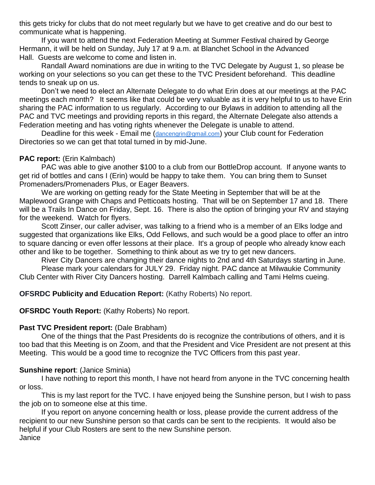this gets tricky for clubs that do not meet regularly but we have to get creative and do our best to communicate what is happening.

If you want to attend the next Federation Meeting at Summer Festival chaired by George Hermann, it will be held on Sunday, July 17 at 9 a.m. at Blanchet School in the Advanced Hall. Guests are welcome to come and listen in.

Randall Award nominations are due in writing to the TVC Delegate by August 1, so please be working on your selections so you can get these to the TVC President beforehand. This deadline tends to sneak up on us.

Don't we need to elect an Alternate Delegate to do what Erin does at our meetings at the PAC meetings each month? It seems like that could be very valuable as it is very helpful to us to have Erin sharing the PAC information to us regularly. According to our Bylaws in addition to attending all the PAC and TVC meetings and providing reports in this regard, the Alternate Delegate also attends a Federation meeting and has voting rights whenever the Delegate is unable to attend.

Deadline for this week - Email me ([dancengrin@gmail.com](mailto:dancengrin@gmail.com)) your Club count for Federation Directories so we can get that total turned in by mid-June.

### **PAC report:** (Erin Kalmbach)

PAC was able to give another \$100 to a club from our BottleDrop account. If anyone wants to get rid of bottles and cans I (Erin) would be happy to take them. You can bring them to Sunset Promenaders/Promenaders Plus, or Eager Beavers.

We are working on getting ready for the State Meeting in September that will be at the Maplewood Grange with Chaps and Petticoats hosting. That will be on September 17 and 18. There will be a Trails In Dance on Friday, Sept. 16. There is also the option of bringing your RV and staying for the weekend. Watch for flyers.

Scott Zinser, our caller adviser, was talking to a friend who is a member of an Elks lodge and suggested that organizations like Elks, Odd Fellows, and such would be a good place to offer an intro to square dancing or even offer lessons at their place. It's a group of people who already know each other and like to be together. Something to think about as we try to get new dancers.

River City Dancers are changing their dance nights to 2nd and 4th Saturdays starting in June. Please mark your calendars for JULY 29. Friday night. PAC dance at Milwaukie Community Club Center with River City Dancers hosting. Darrell Kalmbach calling and Tami Helms cueing.

### **OFSRDC Publicity and Education Report:** (Kathy Roberts) No report.

### **OFSRDC Youth Report: (Kathy Roberts) No report.**

### **Past TVC President report:** (Dale Brabham)

One of the things that the Past Presidents do is recognize the contributions of others, and it is too bad that this Meeting is on Zoom, and that the President and Vice President are not present at this Meeting. This would be a good time to recognize the TVC Officers from this past year.

### **Sunshine report**: (Janice Sminia)

I have nothing to report this month, I have not heard from anyone in the TVC concerning health or loss.

This is my last report for the TVC. I have enjoyed being the Sunshine person, but I wish to pass the job on to someone else at this time.

If you report on anyone concerning health or loss, please provide the current address of the recipient to our new Sunshine person so that cards can be sent to the recipients. It would also be helpful if your Club Rosters are sent to the new Sunshine person. Janice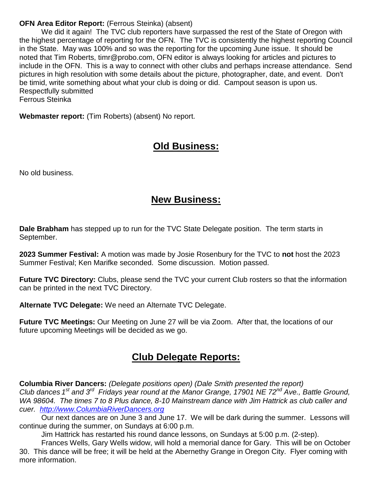### **OFN Area Editor Report:** (Ferrous Steinka) (absent)

We did it again! The TVC club reporters have surpassed the rest of the State of Oregon with the highest percentage of reporting for the OFN. The TVC is consistently the highest reporting Council in the State. May was 100% and so was the reporting for the upcoming June issue. It should be noted that Tim Roberts, timr@probo.com, OFN editor is always looking for articles and pictures to include in the OFN. This is a way to connect with other clubs and perhaps increase attendance. Send pictures in high resolution with some details about the picture, photographer, date, and event. Don't be timid, write something about what your club is doing or did. Campout season is upon us. Respectfully submitted Ferrous Steinka

**Webmaster report:** (Tim Roberts) (absent) No report.

# **Old Business:**

No old business.

# **New Business:**

**Dale Brabham** has stepped up to run for the TVC State Delegate position. The term starts in September.

**2023 Summer Festival:** A motion was made by Josie Rosenbury for the TVC to **not** host the 2023 Summer Festival; Ken Marifke seconded. Some discussion. Motion passed.

**Future TVC Directory:** Clubs, please send the TVC your current Club rosters so that the information can be printed in the next TVC Directory.

**Alternate TVC Delegate:** We need an Alternate TVC Delegate.

**Future TVC Meetings:** Our Meeting on June 27 will be via Zoom. After that, the locations of our future upcoming Meetings will be decided as we go.

# **Club Delegate Reports:**

**Columbia River Dancers:** *(Delegate positions open) (Dale Smith presented the report) Club dances 1 st and 3rd Fridays year round at the Manor Grange, 17901 NE 72nd Ave., Battle Ground, WA 98604. The times 7 to 8 Plus dance, 8-10 Mainstream dance with Jim Hattrick as club caller and cuer. [http://www.ColumbiaRiverDancers.org](http://www.columbiariverdancers.org/)*

Our next dances are on June 3 and June 17. We will be dark during the summer. Lessons will continue during the summer, on Sundays at 6:00 p.m.

Jim Hattrick has restarted his round dance lessons, on Sundays at 5:00 p.m. (2-step).

Frances Wells, Gary Wells widow, will hold a memorial dance for Gary. This will be on October 30. This dance will be free; it will be held at the Abernethy Grange in Oregon City. Flyer coming with more information.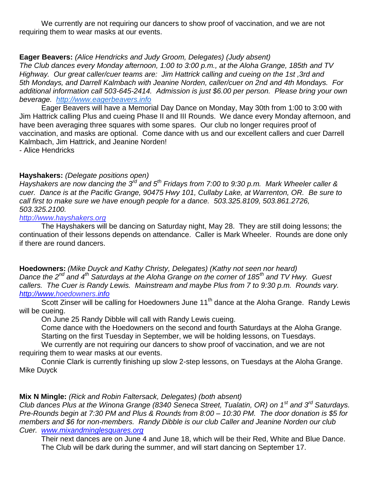We currently are not requiring our dancers to show proof of vaccination, and we are not requiring them to wear masks at our events.

## **Eager Beavers:** *(Alice Hendricks and Judy Groom, Delegates) (Judy absent)*

*The Club dances every Monday afternoon, 1:00 to 3:00 p.m., at the Aloha Grange, 185th and TV Highway. Our great caller/cuer teams are: Jim Hattrick calling and cueing on the 1st ,3rd and 5th Mondays, and Darrell Kalmbach with Jeanine Norden, caller/cuer on 2nd and 4th Mondays. For additional information call 503-645-2414. Admission is just \$6.00 per person. Please bring your own beverage. [http://www.eagerbeavers.info](http://www.eagerbeavers.info/)*

Eager Beavers will have a Memorial Day Dance on Monday, May 30th from 1:00 to 3:00 with Jim Hattrick calling Plus and cueing Phase II and III Rounds. We dance every Monday afternoon, and have been averaging three squares with some spares. Our club no longer requires proof of vaccination, and masks are optional. Come dance with us and our excellent callers and cuer Darrell Kalmbach, Jim Hattrick, and Jeanine Norden!

- Alice Hendricks

## **Hayshakers:** *(Delegate positions open)*

*Hayshakers are now dancing the 3rd and 5th Fridays from 7:00 to 9:30 p.m. Mark Wheeler caller & cuer. Dance is at the Pacific Grange, 90475 Hwy 101, Cullaby Lake, at Warrenton, OR. Be sure to call first to make sure we have enough people for a dance. 503.325.8109, 503.861.2726, 503.325.2100.*

*[http://www.hayshakers.org](http://www.hayshakers.org/)*

The Hayshakers will be dancing on Saturday night, May 28. They are still doing lessons; the continuation of their lessons depends on attendance. Caller is Mark Wheeler. Rounds are done only if there are round dancers.

**Hoedowners:** *(Mike Duyck and Kathy Christy, Delegates) (Kathy not seen nor heard) Dance the 2nd and 4th Saturdays at the Aloha Grange on the corner of 185th and TV Hwy. Guest callers. The Cuer is Randy Lewis. Mainstream and maybe Plus from 7 to 9:30 p.m. Rounds vary. [http://www.hoedowners.info](http://www.hoedowners.info/)*

Scott Zinser will be calling for Hoedowners June 11<sup>th</sup> dance at the Aloha Grange. Randy Lewis will be cueing.

On June 25 Randy Dibble will call with Randy Lewis cueing.

Come dance with the Hoedowners on the second and fourth Saturdays at the Aloha Grange.

Starting on the first Tuesday in September, we will be holding lessons, on Tuesdays.

We currently are not requiring our dancers to show proof of vaccination, and we are not requiring them to wear masks at our events.

Connie Clark is currently finishing up slow 2-step lessons, on Tuesdays at the Aloha Grange. Mike Duyck

## **Mix N Mingle:** *(Rick and Robin Faltersack, Delegates) (both absent)*

*Club dances Plus at the Winona Grange (8340 Seneca Street, Tualatin, OR) on 1st and 3rd Saturdays. Pre-Rounds begin at 7:30 PM and Plus & Rounds from 8:00 – 10:30 PM. The door donation is \$5 for members and \$6 for non-members. Randy Dibble is our club Caller and Jeanine Norden our club Cuer. [www.mixandminglesquares.org](http://www.mixandminglesquares.org/)*

Their next dances are on June 4 and June 18, which will be their Red, White and Blue Dance. The Club will be dark during the summer, and will start dancing on September 17.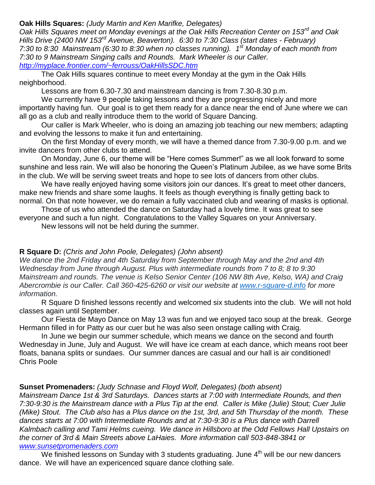### **Oak Hills Squares:** *(Judy Martin and Ken Marifke, Delegates)*

*Oak Hills Squares meet on Monday evenings at the Oak Hills Recreation Center on 153rd and Oak Hills Drive (2400 NW 153rd Avenue, Beaverton). 6:30 to 7:30 Class (start dates - February) 7:30 to 8:30 Mainstream (6:30 to 8:30 when no classes running). 1 st Monday of each month from 7:30 to 9 Mainstream Singing calls and Rounds. Mark Wheeler is our Caller. <http://myplace.frontier.com/~ferrouss/OakHillsSDC.htm>*

The Oak Hills squares continue to meet every Monday at the gym in the Oak Hills neighborhood.

Lessons are from 6.30-7.30 and mainstream dancing is from 7.30-8.30 p.m.

We currently have 9 people taking lessons and they are progressing nicely and more importantly having fun. Our goal is to get them ready for a dance near the end of June where we can all go as a club and really introduce them to the world of Square Dancing.

Our caller is Mark Wheeler, who is doing an amazing job teaching our new members; adapting and evolving the lessons to make it fun and entertaining.

On the first Monday of every month, we will have a themed dance from 7.30-9.00 p.m. and we invite dancers from other clubs to attend.

On Monday, June 6, our theme will be "Here comes Summer!" as we all look forward to some sunshine and less rain. We will also be honoring the Queen's Platinum Jubilee, as we have some Brits in the club. We will be serving sweet treats and hope to see lots of dancers from other clubs.

We have really enjoyed having some visitors join our dances. It's great to meet other dancers, make new friends and share some laughs. It feels as though everything is finally getting back to normal. On that note however, we do remain a fully vaccinated club and wearing of masks is optional.

Those of us who attended the dance on Saturday had a lovely time. It was great to see everyone and such a fun night. Congratulations to the Valley Squares on your Anniversary.

New lessons will not be held during the summer.

### **R Square D:** *(Chris and John Poole, Delegates) (John absent)*

*We dance the 2nd Friday and 4th Saturday from September through May and the 2nd and 4th Wednesday from June through August. Plus with intermediate rounds from 7 to 8; 8 to 9:30 Mainstream and rounds. The venue is Kelso Senior Center (106 NW 8th Ave, Kelso, WA) and Craig Abercrombie is our Caller. Call 360-425-6260 or visit our website at [www.r-square-d.info](http://www.r-square-d.info/) for more information.*

R Square D finished lessons recently and welcomed six students into the club. We will not hold classes again until September.

Our Fiesta de Mayo Dance on May 13 was fun and we enjoyed taco soup at the break. George Hermann filled in for Patty as our cuer but he was also seen onstage calling with Craig.

In June we begin our summer schedule, which means we dance on the second and fourth Wednesday in June, July and August. We will have ice cream at each dance, which means root beer floats, banana splits or sundaes. Our summer dances are casual and our hall is air conditioned! Chris Poole

### **Sunset Promenaders:** *(Judy Schnase and Floyd Wolf, Delegates) (both absent)*

*Mainstream Dance 1st & 3rd Saturdays. Dances starts at 7:00 with Intermediate Rounds, and then 7:30-9:30 is the Mainstream dance with a Plus Tip at the end. Caller is Mike (Julie) Stout; Cuer Julie (Mike) Stout. The Club also has a Plus dance on the 1st, 3rd, and 5th Thursday of the month. These dances starts at 7:00 with Intermediate Rounds and at 7:30-9:30 is a Plus dance with Darrell Kalmbach calling and Tami Helms cueing. We dance in Hillsboro at the Odd Fellows Hall Upstairs on the corner of 3rd & Main Streets above LaHaies. More information call 503-848-3841 or [www.sunsetpromenaders.com](http://www.sunsetpromenaders.com/)*

We finished lessons on Sunday with 3 students graduating. June  $4<sup>th</sup>$  will be our new dancers dance. We will have an expericenced square dance clothing sale.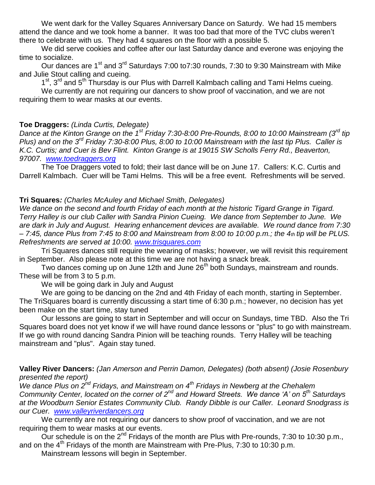We went dark for the Valley Squares Anniversary Dance on Saturdy. We had 15 members attend the dance and we took home a banner. It was too bad that more of the TVC clubs weren't there to celebrate with us. They had 4 squares on the floor with a possible 5.

We did serve cookies and coffee after our last Saturday dance and everone was enjoying the time to socialize.

Our dances are 1<sup>st</sup> and 3<sup>rd</sup> Saturdays 7:00 to 7:30 rounds, 7:30 to 9:30 Mainstream with Mike and Julie Stout calling and cueing.

1<sup>st</sup>, 3<sup>rd</sup> and 5<sup>th</sup> Thursday is our Plus with Darrell Kalmbach calling and Tami Helms cueing.

We currently are not requiring our dancers to show proof of vaccination, and we are not requiring them to wear masks at our events.

## **Toe Draggers:** *(Linda Curtis, Delegate)*

*Dance at the Kinton Grange on the 1st Friday 7:30-8:00 Pre-Rounds, 8:00 to 10:00 Mainstream (3rd tip Plus) and on the 3rd Friday 7:30-8:00 Plus, 8:00 to 10:00 Mainstream with the last tip Plus. Caller is K.C. Curtis; and Cuer is Bev Flint. Kinton Grange is at 19015 SW Scholls Ferry Rd., Beaverton, 97007. [www.toedraggers.org](http://www.toedraggers.org/)*

The Toe Draggers voted to fold; their last dance will be on June 17. Callers: K.C. Curtis and Darrell Kalmbach. Cuer will be Tami Helms. This will be a free event. Refreshments will be served.

## **Tri Squares***: (Charles McAuley and Michael Smith, Delegates)*

*We dance on the second and fourth Friday of each month at the historic Tigard Grange in Tigard. Terry Halley is our club Caller with Sandra Pinion Cueing. We dance from September to June. We are dark in July and August. Hearing enhancement devices are available. We round dance from 7:30 – 7:45, dance Plus from 7:45 to 8:00 and Mainstream from 8:00 to 10:00 p.m.; the 4th tip will be PLUS. Refreshments are served at 10:00. [www.trisquares.com](http://www.trisquares.com/)*

Tri Squares dances still require the wearing of masks; however, we will revisit this requirement in September. Also please note at this time we are not having a snack break.

Two dances coming up on June 12th and June 26<sup>th</sup> both Sundays, mainstream and rounds. These will be from 3 to 5 p.m.

We will be going dark in July and August

We are going to be dancing on the 2nd and 4th Friday of each month, starting in September. The TriSquares board is currently discussing a start time of 6:30 p.m.; however, no decision has yet been make on the start time, stay tuned

Our lessons are going to start in September and will occur on Sundays, time TBD. Also the Tri Squares board does not yet know if we will have round dance lessons or "plus" to go with mainstream. If we go with round dancing Sandra Pinion will be teaching rounds. Terry Halley will be teaching mainstream and "plus". Again stay tuned.

**Valley River Dancers:** *(Jan Amerson and Perrin Damon, Delegates) (both absent) (Josie Rosenbury presented the report)*

*We dance Plus on 2nd Fridays, and Mainstream on 4th Fridays in Newberg at the Chehalem Community Center, located on the corner of 2nd and Howard Streets. We dance 'A' on 5th Saturdays at the Woodburn Senior Estates Community Club. Randy Dibble is our Caller. Leonard Snodgrass is our Cuer. [www.valleyriverdancers.org](http://www.valleyriverdancers.org/)* 

We currently are not requiring our dancers to show proof of vaccination, and we are not requiring them to wear masks at our events.

Our schedule is on the  $2^{nd}$  Fridays of the month are Plus with Pre-rounds, 7:30 to 10:30 p.m., and on the  $4<sup>th</sup>$  Fridays of the month are Mainstream with Pre-Plus, 7:30 to 10:30 p.m.

Mainstream lessons will begin in September.